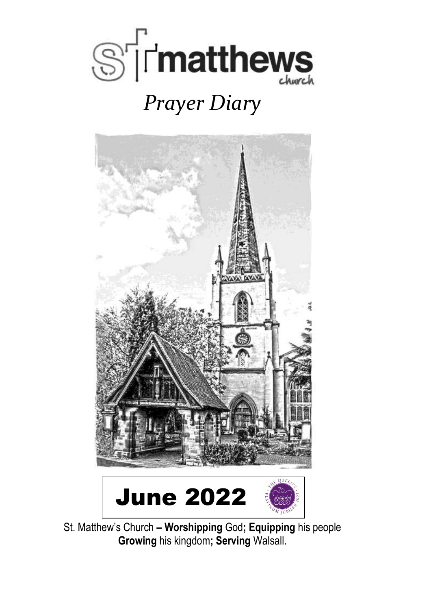

# *Prayer Diary*



St. Matthew's Church **– Worshipping** God**; Equipping** his people **Growing** his kingdom**; Serving** Walsall.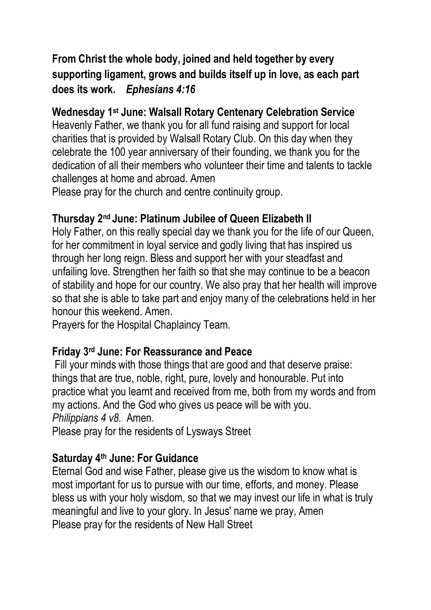# **From Christ the whole body, joined and held together by every supporting ligament, grows and builds itself up in love, as each part does its work.** *Ephesians 4:16*

#### **Wednesday 1st June: Walsall Rotary Centenary Celebration Service**

Heavenly Father, we thank you for all fund raising and support for local charities that is provided by Walsall Rotary Club. On this day when they celebrate the 100 year anniversary of their founding, we thank you for the dedication of all their members who volunteer their time and talents to tackle challenges at home and abroad. Amen

Please pray for the church and centre continuity group.

#### **Thursday 2nd June: Platinum Jubilee of Queen Elizabeth II**

Holy Father, on this really special day we thank you for the life of our Queen, for her commitment in loyal service and godly living that has inspired us through her long reign. Bless and support her with your steadfast and unfailing love. Strengthen her faith so that she may continue to be a beacon of stability and hope for our country. We also pray that her health will improve so that she is able to take part and enjoy many of the celebrations held in her honour this weekend. Amen.

Prayers for the Hospital Chaplaincy Team.

#### **Friday 3rd June: For Reassurance and Peace**

Fill your minds with those things that are good and that deserve praise: things that are true, noble, right, pure, lovely and honourable. Put into practice what you learnt and received from me, both from my words and from my actions. And the God who gives us peace will be with you. *Philippians 4 v8.* Amen.

Please pray for the residents of Lysways Street

# **Saturday 4th June: For Guidance**

Eternal God and wise Father, please give us the wisdom to know what is most important for us to pursue with our time, efforts, and money. Please bless us with your holy wisdom, so that we may invest our life in what is truly meaningful and live to your glory. In Jesus' name we pray, Amen Please pray for the residents of New Hall Street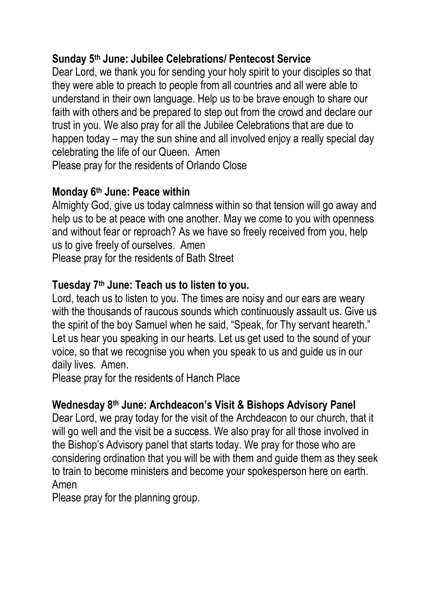#### **Sunday 5th June: Jubilee Celebrations/ Pentecost Service**

Dear Lord, we thank you for sending your holy spirit to your disciples so that they were able to preach to people from all countries and all were able to understand in their own language. Help us to be brave enough to share our faith with others and be prepared to step out from the crowd and declare our trust in you. We also pray for all the Jubilee Celebrations that are due to happen today – may the sun shine and all involved enjoy a really special day celebrating the life of our Queen. Amen Please pray for the residents of Orlando Close

#### **Monday 6th June: Peace within**

Almighty God, give us today calmness within so that tension will go away and help us to be at peace with one another. May we come to you with openness and without fear or reproach? As we have so freely received from you, help us to give freely of ourselves. Amen Please pray for the residents of Bath Street

# **Tuesday 7th June: Teach us to listen to you.**

Lord, teach us to listen to you. The times are noisy and our ears are weary with the thousands of raucous sounds which continuously assault us. Give us the spirit of the boy Samuel when he said, "Speak, for Thy servant heareth." Let us hear you speaking in our hearts. Let us get used to the sound of your voice, so that we recognise you when you speak to us and guide us in our daily lives. Amen.

Please pray for the residents of Hanch Place

#### **Wednesday 8th June: Archdeacon's Visit & Bishops Advisory Panel**

Dear Lord, we pray today for the visit of the Archdeacon to our church, that it will go well and the visit be a success. We also pray for all those involved in the Bishop's Advisory panel that starts today. We pray for those who are considering ordination that you will be with them and guide them as they seek to train to become ministers and become your spokesperson here on earth. Amen

Please pray for the planning group.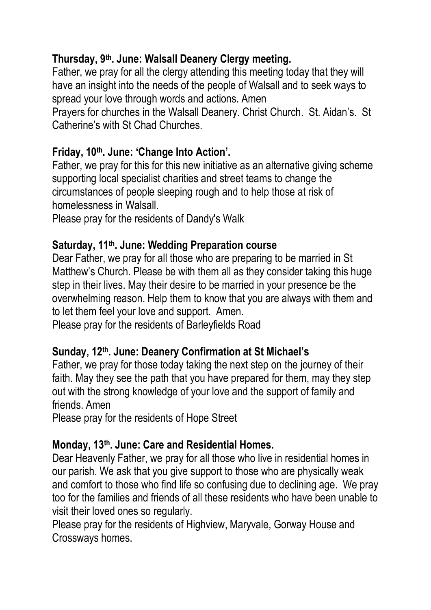# **Thursday, 9th. June: Walsall Deanery Clergy meeting.**

Father, we pray for all the clergy attending this meeting today that they will have an insight into the needs of the people of Walsall and to seek ways to spread your love through words and actions. Amen

Prayers for churches in the Walsall Deanery. Christ Church. St. Aidan's. St Catherine's with St Chad Churches.

#### **Friday, 10th. June: 'Change Into Action'.**

Father, we pray for this for this new initiative as an alternative giving scheme supporting local specialist charities and street teams to change the circumstances of people sleeping rough and to help those at risk of homelessness in Walsall.

Please pray for the residents of Dandy's Walk

# **Saturday, 11th. June: Wedding Preparation course**

Dear Father, we pray for all those who are preparing to be married in St Matthew's Church. Please be with them all as they consider taking this huge step in their lives. May their desire to be married in your presence be the overwhelming reason. Help them to know that you are always with them and to let them feel your love and support. Amen.

Please pray for the residents of Barleyfields Road

# **Sunday, 12th. June: Deanery Confirmation at St Michael's**

Father, we pray for those today taking the next step on the journey of their faith. May they see the path that you have prepared for them, may they step out with the strong knowledge of your love and the support of family and friends. Amen

Please pray for the residents of Hope Street

# **Monday, 13th. June: Care and Residential Homes.**

Dear Heavenly Father, we pray for all those who live in residential homes in our parish. We ask that you give support to those who are physically weak and comfort to those who find life so confusing due to declining age. We pray too for the families and friends of all these residents who have been unable to visit their loved ones so regularly.

Please pray for the residents of Highview, Maryvale, Gorway House and Crossways homes.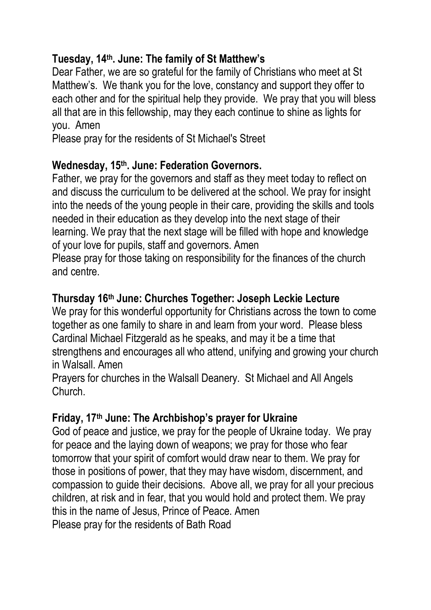# **Tuesday, 14th. June: The family of St Matthew's**

Dear Father, we are so grateful for the family of Christians who meet at St Matthew's. We thank you for the love, constancy and support they offer to each other and for the spiritual help they provide. We pray that you will bless all that are in this fellowship, may they each continue to shine as lights for you. Amen

Please pray for the residents of St Michael's Street

#### **Wednesday, 15th. June: Federation Governors.**

Father, we pray for the governors and staff as they meet today to reflect on and discuss the curriculum to be delivered at the school. We pray for insight into the needs of the young people in their care, providing the skills and tools needed in their education as they develop into the next stage of their learning. We pray that the next stage will be filled with hope and knowledge of your love for pupils, staff and governors. Amen

Please pray for those taking on responsibility for the finances of the church and centre.

#### **Thursday 16th June: Churches Together: Joseph Leckie Lecture**

We pray for this wonderful opportunity for Christians across the town to come together as one family to share in and learn from your word. Please bless Cardinal Michael Fitzgerald as he speaks, and may it be a time that strengthens and encourages all who attend, unifying and growing your church in Walsall. Amen

Prayers for churches in the Walsall Deanery. St Michael and All Angels Church.

#### **Friday, 17th June: The Archbishop's prayer for Ukraine**

God of peace and justice, we pray for the people of Ukraine today. We pray for peace and the laying down of weapons; we pray for those who fear tomorrow that your spirit of comfort would draw near to them. We pray for those in positions of power, that they may have wisdom, discernment, and compassion to guide their decisions. Above all, we pray for all your precious children, at risk and in fear, that you would hold and protect them. We pray this in the name of Jesus, Prince of Peace. Amen Please pray for the residents of Bath Road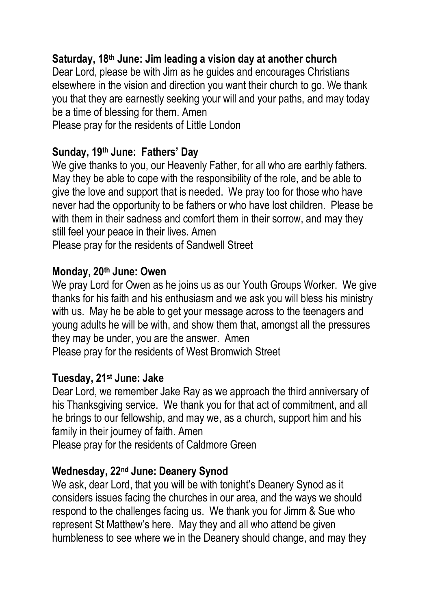#### **Saturday, 18th June: Jim leading a vision day at another church**

Dear Lord, please be with Jim as he guides and encourages Christians elsewhere in the vision and direction you want their church to go. We thank you that they are earnestly seeking your will and your paths, and may today be a time of blessing for them. Amen

Please pray for the residents of Little London

#### **Sunday, 19th June: Fathers' Day**

We give thanks to you, our Heavenly Father, for all who are earthly fathers. May they be able to cope with the responsibility of the role, and be able to give the love and support that is needed. We pray too for those who have never had the opportunity to be fathers or who have lost children. Please be with them in their sadness and comfort them in their sorrow, and may they still feel your peace in their lives. Amen

Please pray for the residents of Sandwell Street

#### **Monday, 20th June: Owen**

We pray Lord for Owen as he joins us as our Youth Groups Worker. We give thanks for his faith and his enthusiasm and we ask you will bless his ministry with us. May he be able to get your message across to the teenagers and young adults he will be with, and show them that, amongst all the pressures they may be under, you are the answer. Amen

Please pray for the residents of West Bromwich Street

#### **Tuesday, 21st June: Jake**

Dear Lord, we remember Jake Ray as we approach the third anniversary of his Thanksgiving service. We thank you for that act of commitment, and all he brings to our fellowship, and may we, as a church, support him and his family in their journey of faith. Amen

Please pray for the residents of Caldmore Green

#### **Wednesday, 22nd June: Deanery Synod**

We ask, dear Lord, that you will be with tonight's Deanery Synod as it considers issues facing the churches in our area, and the ways we should respond to the challenges facing us. We thank you for Jimm & Sue who represent St Matthew's here. May they and all who attend be given humbleness to see where we in the Deanery should change, and may they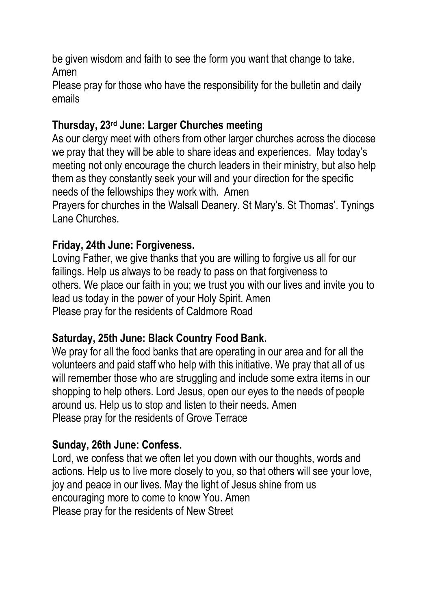be given wisdom and faith to see the form you want that change to take. Amen

Please pray for those who have the responsibility for the bulletin and daily emails

### **Thursday, 23rd June: Larger Churches meeting**

As our clergy meet with others from other larger churches across the diocese we pray that they will be able to share ideas and experiences. May today's meeting not only encourage the church leaders in their ministry, but also help them as they constantly seek your will and your direction for the specific needs of the fellowships they work with. Amen

Prayers for churches in the Walsall Deanery. St Mary's. St Thomas'. Tynings Lane Churches.

# **Friday, 24th June: Forgiveness.**

Loving Father, we give thanks that you are willing to forgive us all for our failings. Help us always to be ready to pass on that forgiveness to others. We place our faith in you; we trust you with our lives and invite you to lead us today in the power of your Holy Spirit. Amen Please pray for the residents of Caldmore Road

#### **Saturday, 25th June: Black Country Food Bank.**

We pray for all the food banks that are operating in our area and for all the volunteers and paid staff who help with this initiative. We pray that all of us will remember those who are struggling and include some extra items in our shopping to help others. Lord Jesus, open our eyes to the needs of people around us. Help us to stop and listen to their needs. Amen Please pray for the residents of Grove Terrace

#### **Sunday, 26th June: Confess.**

Lord, we confess that we often let you down with our thoughts, words and actions. Help us to live more closely to you, so that others will see your love, joy and peace in our lives. May the light of Jesus shine from us encouraging more to come to know You. Amen Please pray for the residents of New Street